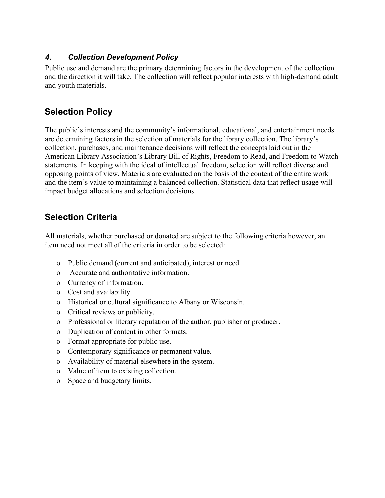#### *4. Collection Development Policy*

Public use and demand are the primary determining factors in the development of the collection and the direction it will take. The collection will reflect popular interests with high-demand adult and youth materials.

## **Selection Policy**

The public's interests and the community's informational, educational, and entertainment needs are determining factors in the selection of materials for the library collection. The library's collection, purchases, and maintenance decisions will reflect the concepts laid out in the American Library Association's Library Bill of Rights, Freedom to Read, and Freedom to Watch statements. In keeping with the ideal of intellectual freedom, selection will reflect diverse and opposing points of view. Materials are evaluated on the basis of the content of the entire work and the item's value to maintaining a balanced collection. Statistical data that reflect usage will impact budget allocations and selection decisions.

# **Selection Criteria**

All materials, whether purchased or donated are subject to the following criteria however, an item need not meet all of the criteria in order to be selected:

- o Public demand (current and anticipated), interest or need.
- o Accurate and authoritative information.
- o Currency of information.
- o Cost and availability.
- o Historical or cultural significance to Albany or Wisconsin.
- o Critical reviews or publicity.
- o Professional or literary reputation of the author, publisher or producer.
- o Duplication of content in other formats.
- o Format appropriate for public use.
- o Contemporary significance or permanent value.
- o Availability of material elsewhere in the system.
- o Value of item to existing collection.
- o Space and budgetary limits.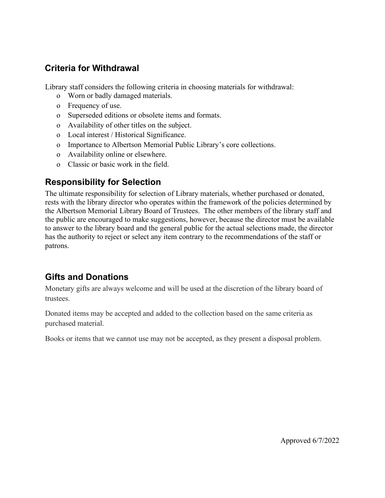## **Criteria for Withdrawal**

Library staff considers the following criteria in choosing materials for withdrawal:

- o Worn or badly damaged materials.
- o Frequency of use.
- o Superseded editions or obsolete items and formats.
- o Availability of other titles on the subject.
- o Local interest / Historical Significance.
- o Importance to Albertson Memorial Public Library's core collections.
- o Availability online or elsewhere.
- o Classic or basic work in the field.

#### **Responsibility for Selection**

The ultimate responsibility for selection of Library materials, whether purchased or donated, rests with the library director who operates within the framework of the policies determined by the Albertson Memorial Library Board of Trustees. The other members of the library staff and the public are encouraged to make suggestions, however, because the director must be available to answer to the library board and the general public for the actual selections made, the director has the authority to reject or select any item contrary to the recommendations of the staff or patrons.

# **Gifts and Donations**

Monetary gifts are always welcome and will be used at the discretion of the library board of trustees.

Donated items may be accepted and added to the collection based on the same criteria as purchased material.

Books or items that we cannot use may not be accepted, as they present a disposal problem.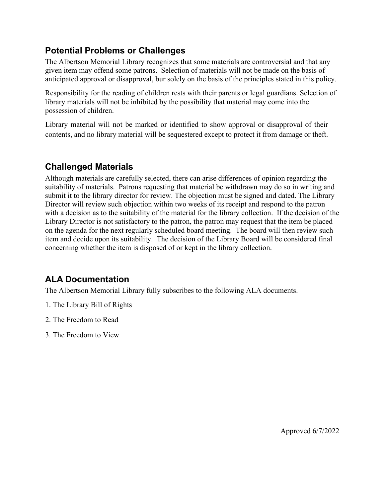## **Potential Problems or Challenges**

The Albertson Memorial Library recognizes that some materials are controversial and that any given item may offend some patrons. Selection of materials will not be made on the basis of anticipated approval or disapproval, bur solely on the basis of the principles stated in this policy.

Responsibility for the reading of children rests with their parents or legal guardians. Selection of library materials will not be inhibited by the possibility that material may come into the possession of children.

Library material will not be marked or identified to show approval or disapproval of their contents, and no library material will be sequestered except to protect it from damage or theft.

# **Challenged Materials**

Although materials are carefully selected, there can arise differences of opinion regarding the suitability of materials. Patrons requesting that material be withdrawn may do so in writing and submit it to the library director for review. The objection must be signed and dated. The Library Director will review such objection within two weeks of its receipt and respond to the patron with a decision as to the suitability of the material for the library collection. If the decision of the Library Director is not satisfactory to the patron, the patron may request that the item be placed on the agenda for the next regularly scheduled board meeting. The board will then review such item and decide upon its suitability. The decision of the Library Board will be considered final concerning whether the item is disposed of or kept in the library collection.

# **ALA Documentation**

The Albertson Memorial Library fully subscribes to the following ALA documents.

- 1. The Library Bill of Rights
- 2. The Freedom to Read
- 3. The Freedom to View